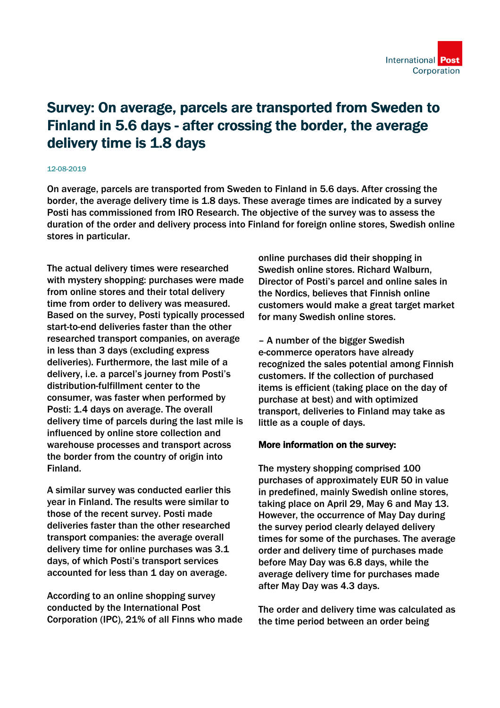

## Survey: On average, parcels are transported from Sweden to Finland in 5.6 days - after crossing the border, the average delivery time is 1.8 days

## 12-08-2019

On average, parcels are transported from Sweden to Finland in 5.6 days. After crossing the border, the average delivery time is 1.8 days. These average times are indicated by a survey Posti has commissioned from IRO Research. The objective of the survey was to assess the duration of the order and delivery process into Finland for foreign online stores, Swedish online stores in particular.

The actual delivery times were researched with mystery shopping: purchases were made from online stores and their total delivery time from order to delivery was measured. Based on the survey, Posti typically processed start-to-end deliveries faster than the other researched transport companies, on average in less than 3 days (excluding express deliveries). Furthermore, the last mile of a delivery, i.e. a parcel's journey from Posti's distribution-fulfillment center to the consumer, was faster when performed by Posti: 1.4 days on average. The overall delivery time of parcels during the last mile is influenced by online store collection and warehouse processes and transport across the border from the country of origin into Finland.

A similar survey was conducted earlier this year in Finland. The results were similar to those of the recent survey. Posti made deliveries faster than the other researched transport companies: the average overall delivery time for online purchases was 3.1 days, of which Posti's transport services accounted for less than 1 day on average.

According to an online shopping survey conducted by the International Post Corporation (IPC), 21% of all Finns who made online purchases did their shopping in Swedish online stores. Richard Walburn, Director of Posti's parcel and online sales in the Nordics, believes that Finnish online customers would make a great target market for many Swedish online stores.

– A number of the bigger Swedish e-commerce operators have already recognized the sales potential among Finnish customers. If the collection of purchased items is efficient (taking place on the day of purchase at best) and with optimized transport, deliveries to Finland may take as little as a couple of days.

## More information on the survey:

The mystery shopping comprised 100 purchases of approximately EUR 50 in value in predefined, mainly Swedish online stores, taking place on April 29, May 6 and May 13. However, the occurrence of May Day during the survey period clearly delayed delivery times for some of the purchases. The average order and delivery time of purchases made before May Day was 6.8 days, while the average delivery time for purchases made after May Day was 4.3 days.

The order and delivery time was calculated as the time period between an order being